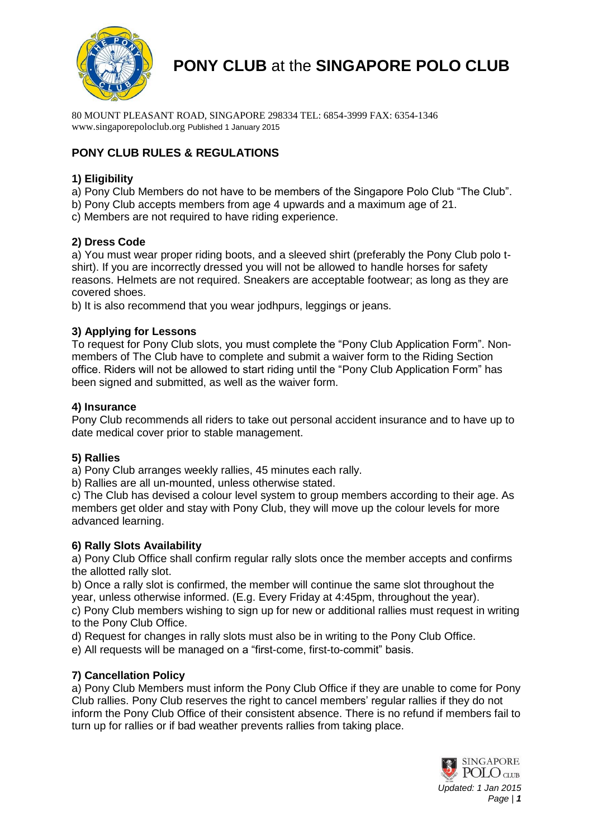

# **PONY CLUB** at the **SINGAPORE POLO CLUB**

80 MOUNT PLEASANT ROAD, SINGAPORE 298334 TEL: 6854-3999 FAX: 6354-1346 www.singaporepoloclub.org Published 1 January 2015

## **PONY CLUB RULES & REGULATIONS**

#### **1) Eligibility**

- a) Pony Club Members do not have to be members of the Singapore Polo Club "The Club".
- b) Pony Club accepts members from age 4 upwards and a maximum age of 21.
- c) Members are not required to have riding experience.

### **2) Dress Code**

a) You must wear proper riding boots, and a sleeved shirt (preferably the Pony Club polo tshirt). If you are incorrectly dressed you will not be allowed to handle horses for safety reasons. Helmets are not required. Sneakers are acceptable footwear; as long as they are covered shoes.

b) It is also recommend that you wear jodhpurs, leggings or jeans.

### **3) Applying for Lessons**

To request for Pony Club slots, you must complete the "Pony Club Application Form". Nonmembers of The Club have to complete and submit a waiver form to the Riding Section office. Riders will not be allowed to start riding until the "Pony Club Application Form" has been signed and submitted, as well as the waiver form.

#### **4) Insurance**

Pony Club recommends all riders to take out personal accident insurance and to have up to date medical cover prior to stable management.

#### **5) Rallies**

a) Pony Club arranges weekly rallies, 45 minutes each rally.

b) Rallies are all un-mounted, unless otherwise stated.

c) The Club has devised a colour level system to group members according to their age. As members get older and stay with Pony Club, they will move up the colour levels for more advanced learning.

#### **6) Rally Slots Availability**

a) Pony Club Office shall confirm regular rally slots once the member accepts and confirms the allotted rally slot.

b) Once a rally slot is confirmed, the member will continue the same slot throughout the year, unless otherwise informed. (E.g. Every Friday at 4:45pm, throughout the year).

c) Pony Club members wishing to sign up for new or additional rallies must request in writing to the Pony Club Office.

d) Request for changes in rally slots must also be in writing to the Pony Club Office.

e) All requests will be managed on a "first-come, first-to-commit" basis.

## **7) Cancellation Policy**

a) Pony Club Members must inform the Pony Club Office if they are unable to come for Pony Club rallies. Pony Club reserves the right to cancel members' regular rallies if they do not inform the Pony Club Office of their consistent absence. There is no refund if members fail to turn up for rallies or if bad weather prevents rallies from taking place.